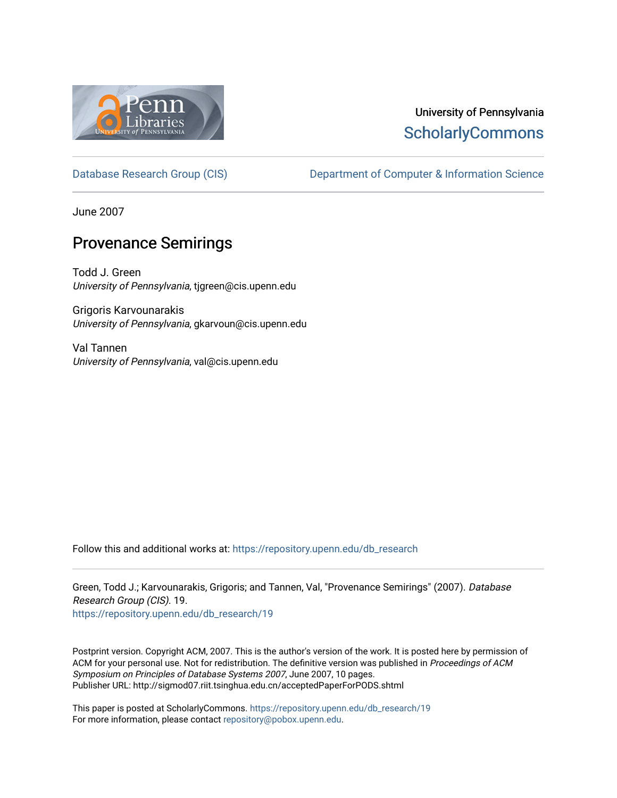

## University of Pennsylvania **ScholarlyCommons**

[Database Research Group \(CIS\)](https://repository.upenn.edu/db_research) Department of Computer & Information Science

June 2007

## Provenance Semirings

Todd J. Green University of Pennsylvania, tjgreen@cis.upenn.edu

Grigoris Karvounarakis University of Pennsylvania, gkarvoun@cis.upenn.edu

Val Tannen University of Pennsylvania, val@cis.upenn.edu

Follow this and additional works at: [https://repository.upenn.edu/db\\_research](https://repository.upenn.edu/db_research?utm_source=repository.upenn.edu%2Fdb_research%2F19&utm_medium=PDF&utm_campaign=PDFCoverPages) 

Green, Todd J.; Karvounarakis, Grigoris; and Tannen, Val, "Provenance Semirings" (2007). Database Research Group (CIS). 19.

[https://repository.upenn.edu/db\\_research/19](https://repository.upenn.edu/db_research/19?utm_source=repository.upenn.edu%2Fdb_research%2F19&utm_medium=PDF&utm_campaign=PDFCoverPages)

Postprint version. Copyright ACM, 2007. This is the author's version of the work. It is posted here by permission of ACM for your personal use. Not for redistribution. The definitive version was published in Proceedings of ACM Symposium on Principles of Database Systems 2007, June 2007, 10 pages. Publisher URL: http://sigmod07.riit.tsinghua.edu.cn/acceptedPaperForPODS.shtml

This paper is posted at ScholarlyCommons. [https://repository.upenn.edu/db\\_research/19](https://repository.upenn.edu/db_research/19)  For more information, please contact [repository@pobox.upenn.edu.](mailto:repository@pobox.upenn.edu)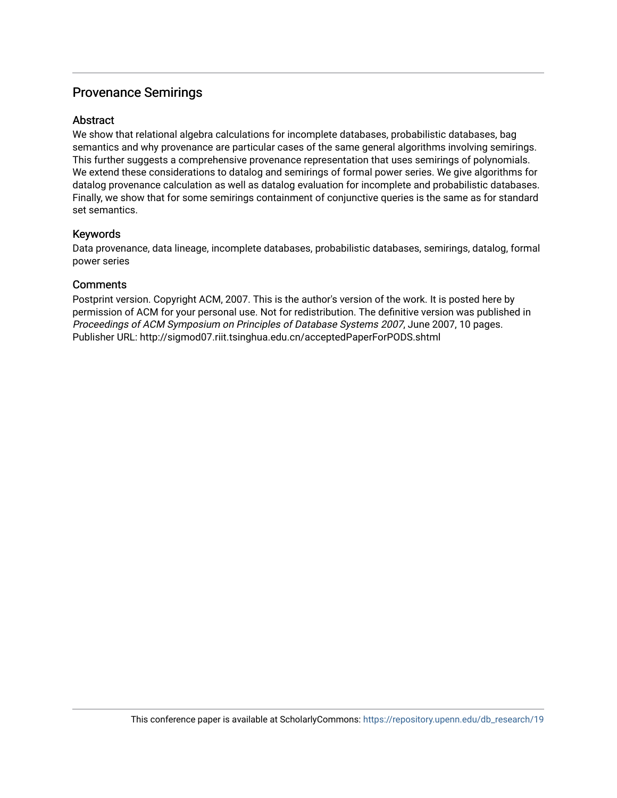## Provenance Semirings

## **Abstract**

We show that relational algebra calculations for incomplete databases, probabilistic databases, bag semantics and why provenance are particular cases of the same general algorithms involving semirings. This further suggests a comprehensive provenance representation that uses semirings of polynomials. We extend these considerations to datalog and semirings of formal power series. We give algorithms for datalog provenance calculation as well as datalog evaluation for incomplete and probabilistic databases. Finally, we show that for some semirings containment of conjunctive queries is the same as for standard set semantics.

## Keywords

Data provenance, data lineage, incomplete databases, probabilistic databases, semirings, datalog, formal power series

## **Comments**

Postprint version. Copyright ACM, 2007. This is the author's version of the work. It is posted here by permission of ACM for your personal use. Not for redistribution. The definitive version was published in Proceedings of ACM Symposium on Principles of Database Systems 2007, June 2007, 10 pages. Publisher URL: http://sigmod07.riit.tsinghua.edu.cn/acceptedPaperForPODS.shtml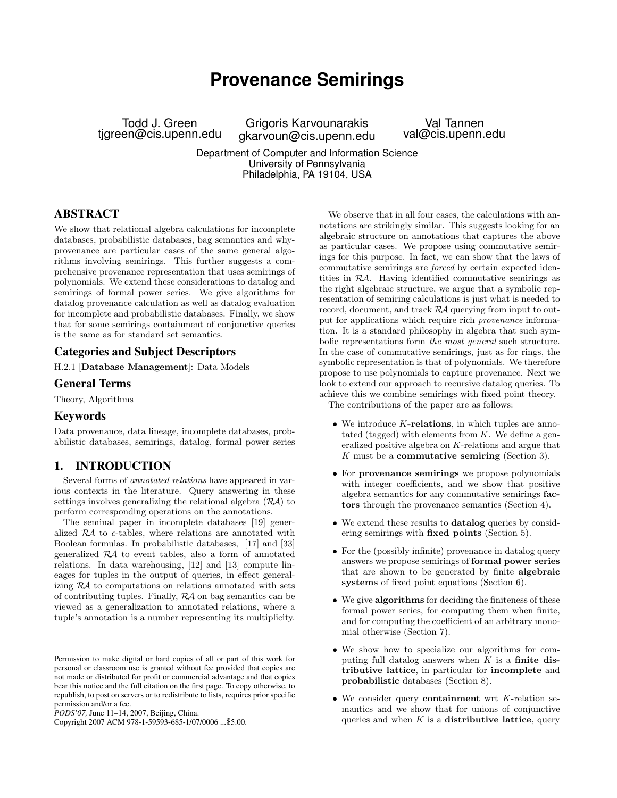# **Provenance Semirings**

Todd J. Green tjgreen@cis.upenn.edu

Grigoris Karvounarakis gkarvoun@cis.upenn.edu

Val Tannen val@cis.upenn.edu

Department of Computer and Information Science University of Pennsylvania Philadelphia, PA 19104, USA

## ABSTRACT

We show that relational algebra calculations for incomplete databases, probabilistic databases, bag semantics and whyprovenance are particular cases of the same general algorithms involving semirings. This further suggests a comprehensive provenance representation that uses semirings of polynomials. We extend these considerations to datalog and semirings of formal power series. We give algorithms for datalog provenance calculation as well as datalog evaluation for incomplete and probabilistic databases. Finally, we show that for some semirings containment of conjunctive queries is the same as for standard set semantics.

#### Categories and Subject Descriptors

H.2.1 [Database Management]: Data Models

#### General Terms

Theory, Algorithms

#### Keywords

Data provenance, data lineage, incomplete databases, probabilistic databases, semirings, datalog, formal power series

### 1. INTRODUCTION

Several forms of annotated relations have appeared in various contexts in the literature. Query answering in these settings involves generalizing the relational algebra  $(\mathcal{R}A)$  to perform corresponding operations on the annotations.

The seminal paper in incomplete databases [19] generalized RA to c-tables, where relations are annotated with Boolean formulas. In probabilistic databases, [17] and [33] generalized RA to event tables, also a form of annotated relations. In data warehousing, [12] and [13] compute lineages for tuples in the output of queries, in effect generalizing RA to computations on relations annotated with sets of contributing tuples. Finally, RA on bag semantics can be viewed as a generalization to annotated relations, where a tuple's annotation is a number representing its multiplicity.

Copyright 2007 ACM 978-1-59593-685-1/07/0006 ...\$5.00.

We observe that in all four cases, the calculations with annotations are strikingly similar. This suggests looking for an algebraic structure on annotations that captures the above as particular cases. We propose using commutative semirings for this purpose. In fact, we can show that the laws of commutative semirings are forced by certain expected identities in RA. Having identified commutative semirings as the right algebraic structure, we argue that a symbolic representation of semiring calculations is just what is needed to record, document, and track RA querying from input to output for applications which require rich provenance information. It is a standard philosophy in algebra that such symbolic representations form the most general such structure. In the case of commutative semirings, just as for rings, the symbolic representation is that of polynomials. We therefore propose to use polynomials to capture provenance. Next we look to extend our approach to recursive datalog queries. To achieve this we combine semirings with fixed point theory. The contributions of the paper are as follows:

- $\bullet$  We introduce  $K$ -relations, in which tuples are annotated (tagged) with elements from  $K$ . We define a gen-
- eralized positive algebra on K-relations and argue that K must be a commutative semiring (Section 3). • For **provenance semirings** we propose polynomials
- with integer coefficients, and we show that positive algebra semantics for any commutative semirings factors through the provenance semantics (Section 4).
- We extend these results to **datalog** queries by considering semirings with fixed points (Section 5).
- For the (possibly infinite) provenance in datalog query answers we propose semirings of formal power series that are shown to be generated by finite algebraic systems of fixed point equations (Section 6).
- We give algorithms for deciding the finiteness of these formal power series, for computing them when finite, and for computing the coefficient of an arbitrary monomial otherwise (Section 7).
- We show how to specialize our algorithms for computing full datalog answers when  $K$  is a finite distributive lattice, in particular for incomplete and probabilistic databases (Section 8).
- We consider query containment wrt K-relation semantics and we show that for unions of conjunctive queries and when  $K$  is a distributive lattice, query

Permission to make digital or hard copies of all or part of this work for personal or classroom use is granted without fee provided that copies are not made or distributed for profit or commercial advantage and that copies bear this notice and the full citation on the first page. To copy otherwise, to republish, to post on servers or to redistribute to lists, requires prior specific permission and/or a fee.

*PODS'07,* June 11–14, 2007, Beijing, China.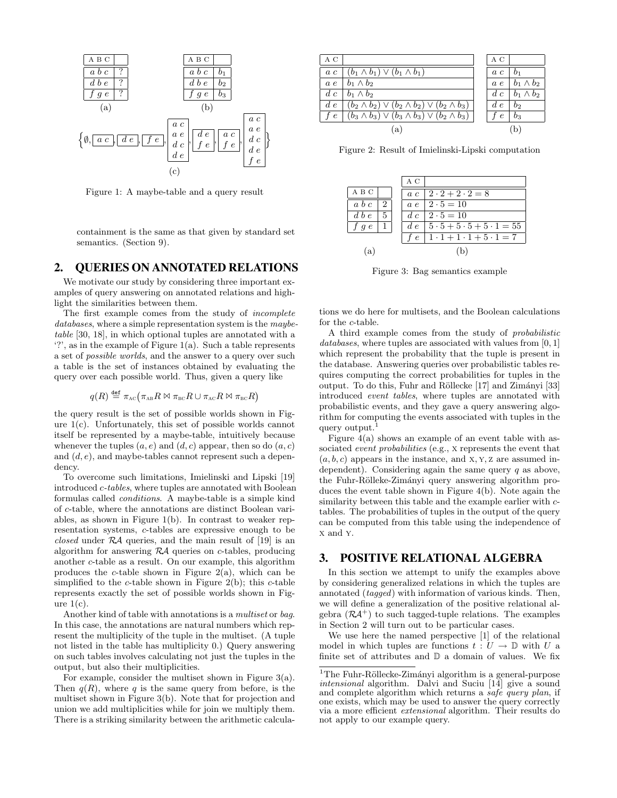

Figure 1: A maybe-table and a query result

containment is the same as that given by standard set semantics. (Section 9).

#### 2. QUERIES ON ANNOTATED RELATIONS

We motivate our study by considering three important examples of query answering on annotated relations and highlight the similarities between them.

The first example comes from the study of incomplete databases, where a simple representation system is the *maybe*table [30, 18], in which optional tuples are annotated with a '?', as in the example of Figure 1(a). Such a table represents a set of possible worlds, and the answer to a query over such a table is the set of instances obtained by evaluating the query over each possible world. Thus, given a query like

$$
q(R) \stackrel{\text{def}}{=} \pi_{\text{AC}}(\pi_{\text{AB}}R \bowtie \pi_{\text{BC}}R \cup \pi_{\text{AC}}R \bowtie \pi_{\text{BC}}R)
$$

the query result is the set of possible worlds shown in Figure 1(c). Unfortunately, this set of possible worlds cannot itself be represented by a maybe-table, intuitively because whenever the tuples  $(a, e)$  and  $(d, c)$  appear, then so do  $(a, c)$ and  $(d, e)$ , and maybe-tables cannot represent such a dependency.

To overcome such limitations, Imielinski and Lipski [19] introduced c-tables, where tuples are annotated with Boolean formulas called conditions. A maybe-table is a simple kind of c-table, where the annotations are distinct Boolean variables, as shown in Figure 1(b). In contrast to weaker representation systems, c-tables are expressive enough to be closed under RA queries, and the main result of [19] is an algorithm for answering RA queries on c-tables, producing another c-table as a result. On our example, this algorithm produces the c-table shown in Figure  $2(a)$ , which can be simplified to the  $c$ -table shown in Figure 2(b); this  $c$ -table represents exactly the set of possible worlds shown in Figure  $1(c)$ .

Another kind of table with annotations is a multiset or bag. In this case, the annotations are natural numbers which represent the multiplicity of the tuple in the multiset. (A tuple not listed in the table has multiplicity 0.) Query answering on such tables involves calculating not just the tuples in the output, but also their multiplicities.

For example, consider the multiset shown in Figure 3(a). Then  $q(R)$ , where q is the same query from before, is the multiset shown in Figure 3(b). Note that for projection and union we add multiplicities while for join we multiply them. There is a striking similarity between the arithmetic calcula-

| A C    |                                                                | A C        |                  |
|--------|----------------------------------------------------------------|------------|------------------|
| a c    | $(b_1 \wedge b_1) \vee (b_1 \wedge b_1)$                       | a c        | $b_1$            |
| a e    | $b_1 \wedge b_2$                                               | a e        | $b_1 \wedge b_2$ |
| $d\ c$ | $b_1 \wedge b_2$                                               | d c        | $b_1 \wedge b_2$ |
| d e    | $(b_2 \wedge b_2) \vee (b_2 \wedge b_2) \vee (b_2 \wedge b_3)$ | d e        | b2               |
| f e    | $(b_3 \wedge b_3) \vee (b_3 \wedge b_3) \vee (b_2 \wedge b_3)$ | $\epsilon$ | $b_3$            |
|        | (a)                                                            |            | (b)              |

Figure 2: Result of Imielinski-Lipski computation

|               |    | A C        |                                          |
|---------------|----|------------|------------------------------------------|
| A B C         |    | a c        | $2 \cdot 2 + 2 \cdot 2 = 8$              |
| a, b, c       | 2  | a e        | $2 \cdot 5 = 10$                         |
| $d \, b \, e$ | 5. | d.c.       | $12 \cdot 5 = 10$                        |
| f $g e$       |    | $d$ e      | $5 \cdot 5 + 5 \cdot 5 + 5 \cdot 1 = 55$ |
|               |    | $\epsilon$ | $1 \cdot 1 + 1 \cdot 1 + 5 \cdot 1 = 7$  |
| (a)           |    |            | (b)                                      |
|               |    |            |                                          |

Figure 3: Bag semantics example

tions we do here for multisets, and the Boolean calculations for the c-table.

A third example comes from the study of probabilistic databases, where tuples are associated with values from [0, 1] which represent the probability that the tuple is present in the database. Answering queries over probabilistic tables requires computing the correct probabilities for tuples in the output. To do this, Fuhr and Röllecke [17] and Zimányi [33] introduced event tables, where tuples are annotated with probabilistic events, and they gave a query answering algorithm for computing the events associated with tuples in the query output.<sup>1</sup>

Figure 4(a) shows an example of an event table with associated event probabilities (e.g., x represents the event that  $(a, b, c)$  appears in the instance, and x, y, z are assumed independent). Considering again the same query  $q$  as above, the Fuhr-Rölleke-Zimányi query answering algorithm produces the event table shown in Figure 4(b). Note again the similarity between this table and the example earlier with ctables. The probabilities of tuples in the output of the query can be computed from this table using the independence of x and y.

#### 3. POSITIVE RELATIONAL ALGEBRA

In this section we attempt to unify the examples above by considering generalized relations in which the tuples are annotated *(tagged)* with information of various kinds. Then, we will define a generalization of the positive relational algebra  $(RA^+)$  to such tagged-tuple relations. The examples in Section 2 will turn out to be particular cases.

We use here the named perspective [1] of the relational model in which tuples are functions  $t: U \to \mathbb{D}$  with U a finite set of attributes and D a domain of values. We fix

 $1$ The Fuhr-Röllecke-Zimányi algorithm is a general-purpose intensional algorithm. Dalvi and Suciu [14] give a sound and complete algorithm which returns a *safe query plan*, if one exists, which may be used to answer the query correctly via a more efficient extensional algorithm. Their results do not apply to our example query.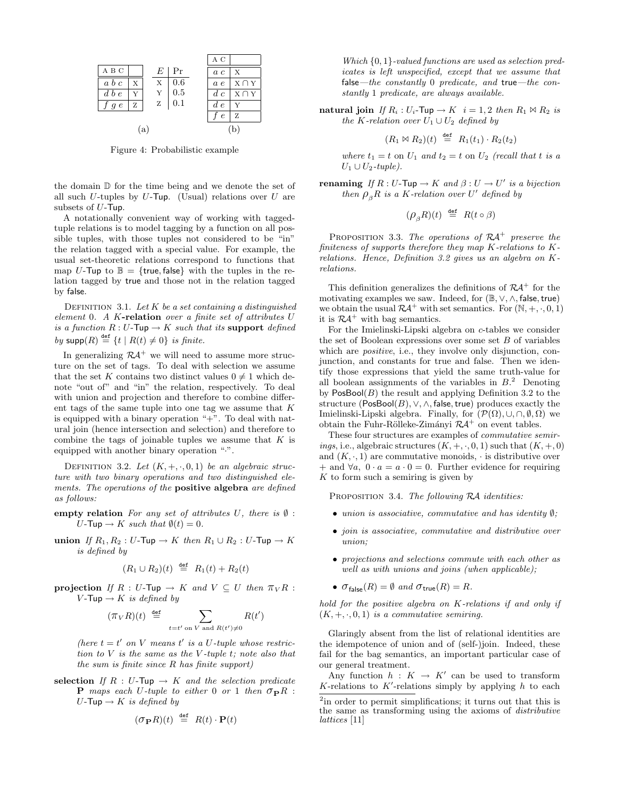|           |   |             |              |  | АC         |                           |
|-----------|---|-------------|--------------|--|------------|---------------------------|
| A B C     |   |             | $E \perp Pr$ |  | a c        | $\boldsymbol{\mathrm{X}}$ |
| $a\;b\;c$ | X | $\mathbf X$ | 0.6          |  | a e        | $\mid X \cap Y$           |
| $d\;b\;e$ |   | $\mathbf Y$ | 0.5          |  | $d\ c$     | $\mid X \cap Y$           |
| $f\,g\,e$ | Ζ | Ζ           | $0.1\,$      |  | d e        | Y                         |
|           |   |             |              |  | $\epsilon$ | Z                         |
| (a)       |   |             |              |  | b          |                           |

Figure 4: Probabilistic example

the domain D for the time being and we denote the set of all such U-tuples by U-Tup. (Usual) relations over  $U$  are subsets of  $U$ -Tup.

A notationally convenient way of working with taggedtuple relations is to model tagging by a function on all possible tuples, with those tuples not considered to be "in" the relation tagged with a special value. For example, the usual set-theoretic relations correspond to functions that map U-Tup to  $\mathbb{B} = \{$ true, false} with the tuples in the relation tagged by true and those not in the relation tagged by false.

DEFINITION 3.1. Let K be a set containing a distinguished element 0. A K-relation over a finite set of attributes U is a function  $R: U$ -Tup  $\rightarrow K$  such that its support defined by supp $(R) \stackrel{\text{def}}{=} \{t \mid R(t) \neq 0\}$  is finite.

In generalizing  $RA^+$  we will need to assume more structure on the set of tags. To deal with selection we assume that the set K contains two distinct values  $0 \neq 1$  which denote "out of" and "in" the relation, respectively. To deal with union and projection and therefore to combine different tags of the same tuple into one tag we assume that  $K$ is equipped with a binary operation  $4$ . To deal with natural join (hence intersection and selection) and therefore to combine the tags of joinable tuples we assume that  $K$  is equipped with another binary operation ".".

DEFINITION 3.2. Let  $(K, +, \cdot, 0, 1)$  be an algebraic structure with two binary operations and two distinguished elements. The operations of the **positive algebra** are defined as follows:

- empty relation For any set of attributes U, there is  $\emptyset$ : U-Tup  $\rightarrow K$  such that  $\emptyset(t) = 0$ .
- union If  $R_1, R_2 : U$ -Tup  $\rightarrow K$  then  $R_1 \cup R_2 : U$ -Tup  $\rightarrow K$ is defined by

$$
(R_1 \cup R_2)(t) \stackrel{\text{def}}{=} R_1(t) + R_2(t)
$$

**projection** If  $R : U$ -Tup  $\rightarrow K$  and  $V \subseteq U$  then  $\pi_V R$ : V-Tup  $\rightarrow K$  is defined by

$$
(\pi_V R)(t) \stackrel{\text{def}}{=} \sum_{t=t' \text{ on } V \text{ and } R(t') \neq 0} R(t')
$$

(here  $t = t'$  on V means  $t'$  is a U-tuple whose restriction to V is the same as the V -tuple t; note also that the sum is finite since R has finite support)

selection If  $R : U$ -Tup  $\rightarrow K$  and the selection predicate **P** maps each U-tuple to either 0 or 1 then  $\sigma_{\mathbf{P}}R$ : U-Tup  $\rightarrow K$  is defined by

$$
(\sigma_{\mathbf{P}}R)(t) \stackrel{\text{def}}{=} R(t) \cdot \mathbf{P}(t)
$$

Which  $\{0, 1\}$ -valued functions are used as selection predicates is left unspecified, except that we assume that false—the constantly 0 predicate, and true—the constantly 1 predicate, are always available.

natural join If  $R_i$ :  $U_i$ -Tup  $\rightarrow K$   $i = 1, 2$  then  $R_1 \bowtie R_2$  is the K-relation over  $U_1 \cup U_2$  defined by

$$
(R_1 \bowtie R_2)(t) \stackrel{\text{def}}{=} R_1(t_1) \cdot R_2(t_2)
$$

where  $t_1 = t$  on  $U_1$  and  $t_2 = t$  on  $U_2$  (recall that t is a  $U_1 \cup U_2$ -tuple).

**renaming** If  $R: U$ -Tup  $\to K$  and  $\beta: U \to U'$  is a bijection then  $\rho_{\beta}R$  is a K-relation over U' defined by

$$
(\rho_{\beta}R)(t) \stackrel{\text{def}}{=} R(t \circ \beta)
$$

PROPOSITION 3.3. The operations of  $\mathcal{R}A^+$  preserve the finiteness of supports therefore they map K-relations to Krelations. Hence, Definition 3.2 gives us an algebra on Krelations.

This definition generalizes the definitions of  $\mathcal{R}A^+$  for the motivating examples we saw. Indeed, for  $(\mathbb{B}, \vee, \wedge, \mathsf{false}, \mathsf{true})$ we obtain the usual  $\mathcal{R}A^+$  with set semantics. For  $(\mathbb{N}, +, \cdot, 0, 1)$ it is  $\mathcal{R}A^+$  with bag semantics.

For the Imielinski-Lipski algebra on c-tables we consider the set of Boolean expressions over some set  $B$  of variables which are *positive*, i.e., they involve only disjunction, conjunction, and constants for true and false. Then we identify those expressions that yield the same truth-value for all boolean assignments of the variables in  $B<sup>2</sup>$  Denoting by  $\mathsf{PosBool}(B)$  the result and applying Definition 3.2 to the structure ( $\mathsf{PosBool}(B)$ ,  $\vee$ ,  $\wedge$ , false, true) produces exactly the Imielinski-Lipski algebra. Finally, for  $(\mathcal{P}(\Omega), \cup, \cap, \emptyset, \Omega)$  we obtain the Fuhr-Rölleke-Zimányi  $R\mathcal{A}^+$  on event tables.

These four structures are examples of commutative semir*ings*, i.e., algebraic structures  $(K, +, \cdot, 0, 1)$  such that  $(K, +, 0)$ and  $(K, \cdot, 1)$  are commutative monoids,  $\cdot$  is distributive over + and  $\forall a, \ 0 \cdot a = a \cdot 0 = 0$ . Further evidence for requiring  $K$  to form such a semiring is given by

PROPOSITION 3.4. The following RA identities:

- union is associative, commutative and has identity ∅;
- join is associative, commutative and distributive over union;
- projections and selections commute with each other as well as with unions and joins (when applicable);
- $\sigma_{\text{false}}(R) = \emptyset$  and  $\sigma_{\text{true}}(R) = R$ .

hold for the positive algebra on K-relations if and only if  $(K, +, \cdot, 0, 1)$  is a commutative semiring.

Glaringly absent from the list of relational identities are the idempotence of union and of (self-)join. Indeed, these fail for the bag semantics, an important particular case of our general treatment.

Any function  $h: K \to K'$  can be used to transform K-relations to  $K'$ -relations simply by applying h to each

<sup>&</sup>lt;sup>2</sup> in order to permit simplifications; it turns out that this is the same as transforming using the axioms of distributive lattices [11]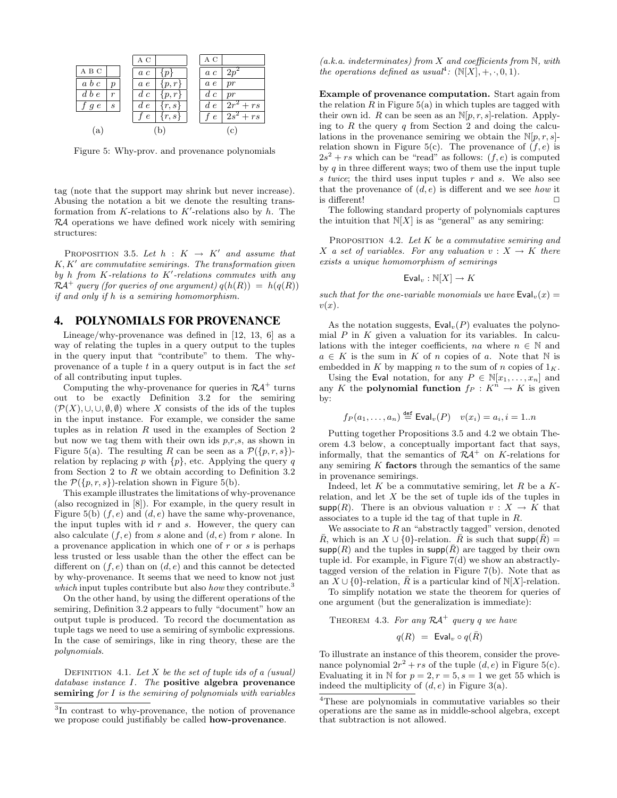|                               | ΑС                      | A C                            |  |
|-------------------------------|-------------------------|--------------------------------|--|
| A B C                         | a c                     | a c<br>zτ                      |  |
| $a\;b\;c$<br>$\boldsymbol{p}$ | a e<br>$\{p,r\}$        | a e<br>pr                      |  |
| $d\;b\;e$<br>$\boldsymbol{r}$ | $d\ c$                  | $d\ c$<br>pr                   |  |
| S<br>g e                      | $\{r, s\}$<br>d e       | $2r^2$<br>$+ rs$<br>d e        |  |
|                               | $\{r,s\}$<br>$\epsilon$ | $2s^2$<br>$+ rs$<br>$\epsilon$ |  |
| (a)                           | (b                      | (c                             |  |

Figure 5: Why-prov. and provenance polynomials

tag (note that the support may shrink but never increase). Abusing the notation a bit we denote the resulting transformation from K-relations to K'-relations also by  $h$ . The RA operations we have defined work nicely with semiring structures:

PROPOSITION 3.5. Let  $h: K \rightarrow K'$  and assume that  $K, K'$  are commutative semirings. The transformation given by h from K-relations to  $K'$ -relations commutes with any  $\mathcal{R}A^+$  query (for queries of one argument)  $q(h(R)) = h(q(R))$ if and only if h is a semiring homomorphism.

#### 4. POLYNOMIALS FOR PROVENANCE

Lineage/why-provenance was defined in [12, 13, 6] as a way of relating the tuples in a query output to the tuples in the query input that "contribute" to them. The whyprovenance of a tuple  $t$  in a query output is in fact the  $set$ of all contributing input tuples.

Computing the why-provenance for queries in  $\mathcal{R}A^+$  turns out to be exactly Definition 3.2 for the semiring  $(\mathcal{P}(X), \cup, \cup, \emptyset, \emptyset)$  where X consists of the ids of the tuples in the input instance. For example, we consider the same tuples as in relation  $R$  used in the examples of Section 2 but now we tag them with their own ids  $p,r,s$ , as shown in Figure 5(a). The resulting R can be seen as a  $\mathcal{P}(\{p,r,s\})$ relation by replacing p with  $\{p\}$ , etc. Applying the query q from Section 2 to  $R$  we obtain according to Definition 3.2 the  $P({p, r, s})$ -relation shown in Figure 5(b).

This example illustrates the limitations of why-provenance (also recognized in [8]). For example, in the query result in Figure 5(b)  $(f, e)$  and  $(d, e)$  have the same why-provenance, the input tuples with id  $r$  and  $s$ . However, the query can also calculate  $(f, e)$  from s alone and  $(d, e)$  from r alone. In a provenance application in which one of  $r$  or  $s$  is perhaps less trusted or less usable than the other the effect can be different on  $(f, e)$  than on  $(d, e)$  and this cannot be detected by why-provenance. It seems that we need to know not just which input tuples contribute but also how they contribute.<sup>3</sup>

On the other hand, by using the different operations of the semiring, Definition 3.2 appears to fully "document" how an output tuple is produced. To record the documentation as tuple tags we need to use a semiring of symbolic expressions. In the case of semirings, like in ring theory, these are the polynomials.

DEFINITION 4.1. Let  $X$  be the set of tuple ids of a (usual) database instance I. The positive algebra provenance semiring for  $I$  is the semiring of polynomials with variables

 $(a.k.a.~indeterminates)$  from X and coefficients from N, with the operations defined as usual<sup>4</sup>:  $(N[X], +, \cdot, 0, 1)$ .

Example of provenance computation. Start again from the relation  $R$  in Figure 5(a) in which tuples are tagged with their own id. R can be seen as an  $\mathbb{N}[p,r,s]$ -relation. Applying to  $R$  the query  $q$  from Section 2 and doing the calculations in the provenance semiring we obtain the  $\mathbb{N}[p,r,s]$ relation shown in Figure 5(c). The provenance of  $(f, e)$  is  $2s^2 + rs$  which can be "read" as follows:  $(f, e)$  is computed by  $q$  in three different ways; two of them use the input tuple s twice; the third uses input tuples  $r$  and  $s$ . We also see that the provenance of  $(d, e)$  is different and we see how it is different!  $\Box$ 

The following standard property of polynomials captures the intuition that  $N[X]$  is as "general" as any semiring:

PROPOSITION 4.2. Let  $K$  be a commutative semiring and X a set of variables. For any valuation  $v: X \to K$  there exists a unique homomorphism of semirings

$$
\mathsf{Eval}_v : \mathbb{N}[X] \to K
$$

such that for the one-variable monomials we have  $\textsf{Eval}_v(x) =$  $v(x)$ .

As the notation suggests,  $\textsf{Eval}_v(P)$  evaluates the polynomial  $P$  in  $K$  given a valuation for its variables. In calculations with the integer coefficients, na where  $n \in \mathbb{N}$  and  $a \in K$  is the sum in K of n copies of a. Note that N is embedded in K by mapping n to the sum of n copies of  $1<sub>K</sub>$ .

Using the Eval notation, for any  $P \in \mathbb{N}[x_1, \ldots, x_n]$  and any K the **polynomial function**  $f_P : K^n \to K$  is given by:

$$
f_P(a_1,\ldots,a_n) \stackrel{\text{def}}{=} \text{Eval}_v(P) \quad v(x_i) = a_i, i = 1..n
$$

Putting together Propositions 3.5 and 4.2 we obtain Theorem 4.3 below, a conceptually important fact that says, informally, that the semantics of  $\mathcal{R}A^+$  on K-relations for any semiring  $K$  factors through the semantics of the same in provenance semirings.

Indeed, let  $K$  be a commutative semiring, let  $R$  be a  $K$ relation, and let  $X$  be the set of tuple ids of the tuples in supp(R). There is an obvious valuation  $v: X \to K$  that associates to a tuple id the tag of that tuple in R.

We associate to  $R$  an "abstractly tagged" version, denoted  $\bar{R}$ , which is an  $X \cup \{0\}$ -relation.  $\bar{R}$  is such that supp( $\bar{R}$ ) =  $\textsf{supp}(R)$  and the tuples in  $\textsf{supp}(\bar{R})$  are tagged by their own tuple id. For example, in Figure 7(d) we show an abstractlytagged version of the relation in Figure 7(b). Note that as an  $X \cup \{0\}$ -relation,  $\overline{R}$  is a particular kind of N[X]-relation.

To simplify notation we state the theorem for queries of one argument (but the generalization is immediate):

THEOREM 4.3. For any  $\mathcal{R}A^+$  query q we have

$$
q(R) = \text{Eval}_v \circ q(\bar{R})
$$

To illustrate an instance of this theorem, consider the provenance polynomial  $2r^2 + rs$  of the tuple  $(d, e)$  in Figure 5(c). Evaluating it in  $\mathbb N$  for  $p = 2, r = 5, s = 1$  we get 55 which is indeed the multiplicity of  $(d, e)$  in Figure 3(a).

<sup>&</sup>lt;sup>3</sup>In contrast to why-provenance, the notion of provenance we propose could justifiably be called how-provenance.

<sup>4</sup>These are polynomials in commutative variables so their operations are the same as in middle-school algebra, except that subtraction is not allowed.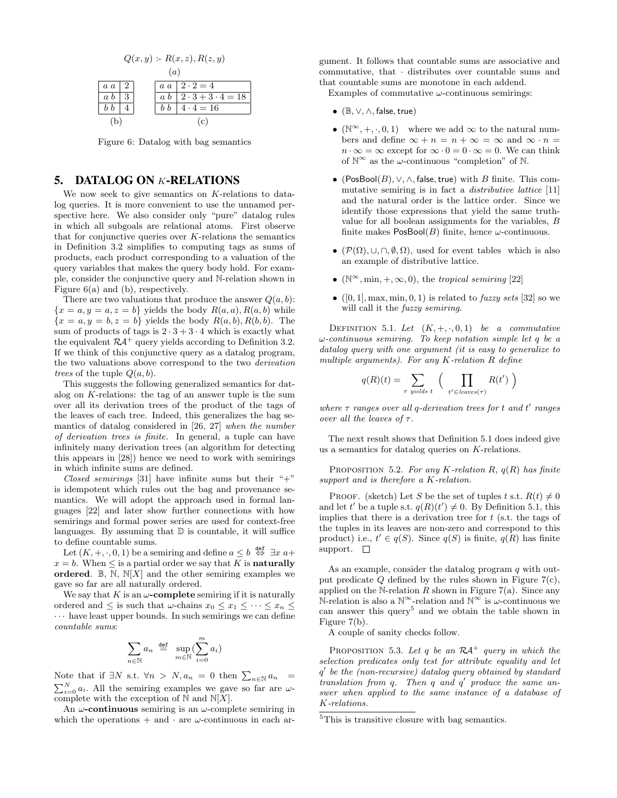

Figure 6: Datalog with bag semantics

#### 5. DATALOG ON K-RELATIONS

We now seek to give semantics on  $K$ -relations to datalog queries. It is more convenient to use the unnamed perspective here. We also consider only "pure" datalog rules in which all subgoals are relational atoms. First observe that for conjunctive queries over  $K$ -relations the semantics in Definition 3.2 simplifies to computing tags as sums of products, each product corresponding to a valuation of the query variables that makes the query body hold. For example, consider the conjunctive query and N-relation shown in Figure 6(a) and (b), respectively.

There are two valuations that produce the answer  $Q(a, b)$ :  ${x = a, y = a, z = b}$  yields the body  $R(a, a), R(a, b)$  while  ${x = a, y = b, z = b}$  yields the body  $R(a, b), R(b, b)$ . The sum of products of tags is  $2 \cdot 3 + 3 \cdot 4$  which is exactly what the equivalent  $\mathcal{R}A^+$  query yields according to Definition 3.2. If we think of this conjunctive query as a datalog program, the two valuations above correspond to the two derivation trees of the tuple  $Q(a, b)$ .

This suggests the following generalized semantics for datalog on K-relations: the tag of an answer tuple is the sum over all its derivation trees of the product of the tags of the leaves of each tree. Indeed, this generalizes the bag semantics of datalog considered in [26, 27] when the number of derivation trees is finite. In general, a tuple can have infinitely many derivation trees (an algorithm for detecting this appears in [28]) hence we need to work with semirings in which infinite sums are defined.

Closed semirings [31] have infinite sums but their "+" is idempotent which rules out the bag and provenance semantics. We will adopt the approach used in formal languages [22] and later show further connections with how semirings and formal power series are used for context-free languages. By assuming that  $\mathbb D$  is countable, it will suffice to define countable sums.

Let  $(K, +, \cdot, 0, 1)$  be a semiring and define  $a \leq b \stackrel{\text{def}}{\Leftrightarrow} \exists x \; a +$  $x = b$ . When  $\leq$  is a partial order we say that K is **naturally** ordered.  $\mathbb{B}, \mathbb{N}, \mathbb{N}[X]$  and the other semiring examples we gave so far are all naturally ordered.

We say that K is an  $\omega$ -complete semiring if it is naturally ordered and  $\leq$  is such that  $\omega$ -chains  $x_0 \leq x_1 \leq \cdots \leq x_n \leq$  $\cdots$  have least upper bounds. In such semirings we can define countable sums:

$$
\sum_{n \in \mathbb{N}} a_n \stackrel{\text{def}}{=} \sup_{m \in \mathbb{N}} \left( \sum_{i=0}^m a_i \right)
$$

Note that if  $\exists N \text{ s.t. } \forall n > N, a_n = 0 \text{ then } \sum_{n \in \mathbb{N}} a_n =$  $\sum_{i=0}^{N} a_i$ . All the semiring examples we gave so far are  $\omega$ complete with the exception of  $\mathbb N$  and  $\mathbb N[X]$ .

An  $\omega$ -continuous semiring is an  $\omega$ -complete semiring in which the operations  $+$  and  $\cdot$  are  $\omega$ -continuous in each argument. It follows that countable sums are associative and commutative, that · distributes over countable sums and that countable sums are monotone in each addend.

Examples of commutative  $\omega$ -continuous semirings:

- (B, ∨, ∧, false,true)
- $(\mathbb{N}^{\infty}, +, \cdot, 0, 1)$  where we add  $\infty$  to the natural numbers and define  $\infty + n = n + \infty = \infty$  and  $\infty \cdot n =$  $n \cdot \infty = \infty$  except for  $\infty \cdot 0 = 0 \cdot \infty = 0$ . We can think of  $\mathbb{N}^{\infty}$  as the  $\omega$ -continuous "completion" of  $\mathbb{N}$ .
- (PosBool(B),  $\vee$ ,  $\wedge$ , false, true) with B finite. This commutative semiring is in fact a distributive lattice [11] and the natural order is the lattice order. Since we identify those expressions that yield the same truthvalue for all boolean assignments for the variables, B finite makes  $PosBool(B)$  finite, hence  $\omega$ -continuous.
- $(\mathcal{P}(\Omega), \cup, \cap, \emptyset, \Omega)$ , used for event tables which is also an example of distributive lattice.
- $(N^{\infty}, \min, +, \infty, 0)$ , the tropical semiring [22]
- $([0, 1], \max, \min, 0, 1)$  is related to *fuzzy sets* [32] so we will call it the *fuzzy semiring*.

DEFINITION 5.1. Let  $(K, +, \cdot, 0, 1)$  be a commutative  $\omega$ -continuous semiring. To keep notation simple let q be a datalog query with one argument (it is easy to generalize to multiple arguments). For any K-relation R define

$$
q(R)(t) = \sum_{\tau \ yields \ t} \left( \prod_{t' \in leaves(\tau)} R(t') \right)
$$

where  $\tau$  ranges over all q-derivation trees for t and t' ranges over all the leaves of  $\tau$ .

The next result shows that Definition 5.1 does indeed give us a semantics for datalog queries on K-relations.

PROPOSITION 5.2. For any K-relation R,  $q(R)$  has finite support and is therefore a K-relation.

PROOF. (sketch) Let S be the set of tuples t s.t.  $R(t) \neq 0$ and let t' be a tuple s.t.  $q(R)(t') \neq 0$ . By Definition 5.1, this implies that there is a derivation tree for  $t$  (s.t. the tags of the tuples in its leaves are non-zero and correspond to this product) i.e.,  $t' \in q(S)$ . Since  $q(S)$  is finite,  $q(R)$  has finite support.  $\square$ 

As an example, consider the datalog program  $q$  with output predicate Q defined by the rules shown in Figure 7(c), applied on the N-relation R shown in Figure 7(a). Since any N-relation is also a  $\mathbb{N}^{\infty}$ -relation and  $\mathbb{N}^{\infty}$  is  $\omega$ -continuous we can answer this query<sup>5</sup> and we obtain the table shown in Figure 7(b).

A couple of sanity checks follow.

PROPOSITION 5.3. Let q be an  $\mathcal{R}A^+$  query in which the selection predicates only test for attribute equality and let q 0 be the (non-recursive) datalog query obtained by standard  $translation$  from  $q$ . Then  $q$  and  $q'$  produce the same answer when applied to the same instance of a database of K-relations.

<sup>&</sup>lt;sup>5</sup>This is transitive closure with bag semantics.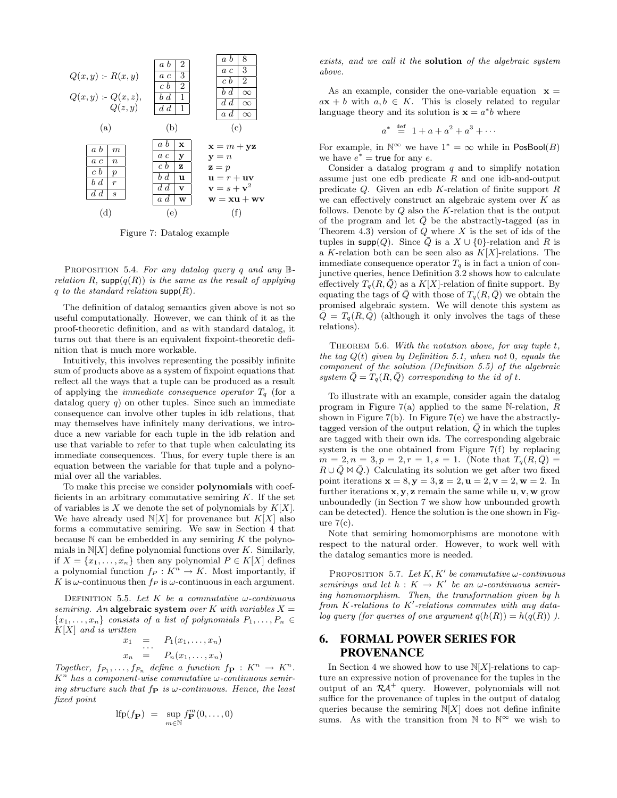

Figure 7: Datalog example

PROPOSITION 5.4. For any datalog query q and any  $\mathbb{B}$ relation R, supp $(q(R))$  is the same as the result of applying q to the standard relation  $\text{supp}(R)$ .

The definition of datalog semantics given above is not so useful computationally. However, we can think of it as the proof-theoretic definition, and as with standard datalog, it turns out that there is an equivalent fixpoint-theoretic definition that is much more workable.

Intuitively, this involves representing the possibly infinite sum of products above as a system of fixpoint equations that reflect all the ways that a tuple can be produced as a result of applying the *immediate consequence operator*  $T<sub>q</sub>$  (for a datalog query  $q$ ) on other tuples. Since such an immediate consequence can involve other tuples in idb relations, that may themselves have infinitely many derivations, we introduce a new variable for each tuple in the idb relation and use that variable to refer to that tuple when calculating its immediate consequences. Thus, for every tuple there is an equation between the variable for that tuple and a polynomial over all the variables.

To make this precise we consider polynomials with coefficients in an arbitrary commutative semiring  $K$ . If the set of variables is X we denote the set of polynomials by  $K[X]$ . We have already used  $N[X]$  for provenance but  $K[X]$  also forms a commutative semiring. We saw in Section 4 that because  $\mathbb N$  can be embedded in any semiring K the polynomials in  $N[X]$  define polynomial functions over K. Similarly, if  $X = \{x_1, \ldots, x_n\}$  then any polynomial  $P \in K[X]$  defines a polynomial function  $f_P : K^n \to K$ . Most importantly, if K is  $\omega$ -continuous then  $f_P$  is  $\omega$ -continuous in each argument.

DEFINITION 5.5. Let K be a commutative  $\omega$ -continuous semiring. An algebraic system over K with variables  $X =$  ${x_1, \ldots, x_n}$  consists of a list of polynomials  $P_1, \ldots, P_n \in$  $K[X]$  and is written

 $x_1 = P_1(x_1, \ldots, x_n)$ <br>  $x_n = P_n(x_1, \ldots, x_n)$ 

Together,  $f_{P_1}, \ldots, f_{P_n}$  define a function  $f_{\mathbf{P}} : K^n \to K^n$ .  $K^n$  has a component-wise commutative  $\omega$ -continuous semiring structure such that  $f_P$  is  $\omega$ -continuous. Hence, the least fixed point

$$
\text{lfp}(f_{\mathbf{P}}) = \sup_{m \in \mathbb{N}} f_{\mathbf{P}}^m(0, \dots, 0)
$$

exists, and we call it the solution of the algebraic system above.

As an example, consider the one-variable equation  $x =$  $a\mathbf{x} + b$  with  $a, b \in K$ . This is closely related to regular language theory and its solution is  $\mathbf{x} = a^*b$  where

$$
a^* \stackrel{\text{def}}{=} 1 + a + a^2 + a^3 + \cdots
$$

For example, in  $\mathbb{N}^{\infty}$  we have  $1^* = \infty$  while in PosBool(B) we have  $e^*$  = true for any  $e$ .

Consider a datalog program  $q$  and to simplify notation assume just one edb predicate  $R$  and one idb-and-output predicate Q. Given an edb K-relation of finite support R we can effectively construct an algebraic system over  $K$  as follows. Denote by  $Q$  also the K-relation that is the output of the program and let  $\overline{Q}$  be the abstractly-tagged (as in Theorem 4.3) version of  $Q$  where  $X$  is the set of ids of the tuples in supp(Q). Since  $\overline{Q}$  is a  $X \cup \{0\}$ -relation and R is a K-relation both can be seen also as  $K[X]$ -relations. The immediate consequence operator  $T<sub>a</sub>$  is in fact a union of conjunctive queries, hence Definition 3.2 shows how to calculate effectively  $T_a(R, \bar{Q})$  as a K[X]-relation of finite support. By equating the tags of  $\overline{Q}$  with those of  $T_q(R, \overline{Q})$  we obtain the promised algebraic system. We will denote this system as  $\overline{Q} = T_q(R, \overline{Q})$  (although it only involves the tags of these relations).

THEOREM 5.6. With the notation above, for any tuple  $t$ , the tag  $Q(t)$  given by Definition 5.1, when not 0, equals the component of the solution (Definition 5.5) of the algebraic system  $\overline{Q} = T_q(R, \overline{Q})$  corresponding to the id of t.

To illustrate with an example, consider again the datalog program in Figure 7(a) applied to the same N-relation,  $R$ shown in Figure 7(b). In Figure 7(e) we have the abstractlytagged version of the output relation,  $Q$  in which the tuples are tagged with their own ids. The corresponding algebraic system is the one obtained from Figure 7(f) by replacing  $m = 2, n = 3, p = 2, r = 1, s = 1.$  (Note that  $T_q(R, \bar{Q}) =$  $R \cup \bar{Q} \bowtie \bar{Q}$ .) Calculating its solution we get after two fixed point iterations  $\mathbf{x} = 8$ ,  $\mathbf{y} = 3$ ,  $\mathbf{z} = 2$ ,  $\mathbf{u} = 2$ ,  $\mathbf{v} = 2$ ,  $\mathbf{w} = 2$ . In further iterations  $x, y, z$  remain the same while  $u, v, w$  grow unboundedly (in Section 7 we show how unbounded growth can be detected). Hence the solution is the one shown in Figure  $7(c)$ .

Note that semiring homomorphisms are monotone with respect to the natural order. However, to work well with the datalog semantics more is needed.

PROPOSITION 5.7. Let  $K, K'$  be commutative  $\omega$ -continuous semirings and let  $h: K \to K'$  be an  $\omega$ -continuous semiring homomorphism. Then, the transformation given by h from K-relations to  $K'$ -relations commutes with any datalog query (for queries of one argument  $q(h(R)) = h(q(R))$ ).

## 6. FORMAL POWER SERIES FOR PROVENANCE

In Section 4 we showed how to use  $N[X]$ -relations to capture an expressive notion of provenance for the tuples in the output of an  $\mathcal{R}A^+$  query. However, polynomials will not suffice for the provenance of tuples in the output of datalog queries because the semiring  $N[X]$  does not define infinite sums. As with the transition from  $\mathbb N$  to  $\mathbb N^{\infty}$  we wish to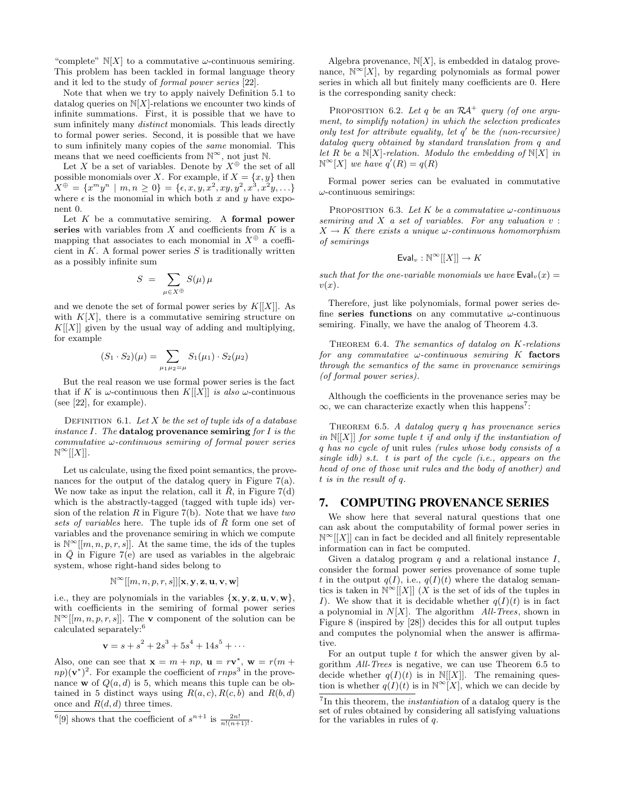"complete"  $N[X]$  to a commutative  $\omega$ -continuous semiring. This problem has been tackled in formal language theory and it led to the study of formal power series [22].

Note that when we try to apply naively Definition 5.1 to datalog queries on  $N[X]$ -relations we encounter two kinds of infinite summations. First, it is possible that we have to sum infinitely many *distinct* monomials. This leads directly to formal power series. Second, it is possible that we have to sum infinitely many copies of the same monomial. This means that we need coefficients from  $\mathbb{N}^{\infty}$ , not just  $\mathbb{N}$ .

Let X be a set of variables. Denote by  $X^{\oplus}$  the set of all possible monomials over X. For example, if  $X = \{x, y\}$  then  $X^{\oplus} = \{x^m y^n \mid m, n \geq 0\} = \{\epsilon, x, y, x^2, xy, y^2, x^3, x^2y, \ldots\}$ where  $\epsilon$  is the monomial in which both x and y have exponent 0.

Let  $K$  be a commutative semiring. A formal power series with variables from  $X$  and coefficients from  $K$  is a mapping that associates to each monomial in  $X^{\oplus}$  a coefficient in  $K$ . A formal power series  $S$  is traditionally written as a possibly infinite sum

$$
S\ =\ \sum_{\mu\in X^{\oplus}}S(\mu)\,\mu
$$

and we denote the set of formal power series by  $K[[X]]$ . As with  $K[X]$ , there is a commutative semiring structure on  $K[[X]]$  given by the usual way of adding and multiplying, for example

$$
(S_1 \cdot S_2)(\mu) = \sum_{\mu_1 \mu_2 = \mu} S_1(\mu_1) \cdot S_2(\mu_2)
$$

But the real reason we use formal power series is the fact that if K is  $\omega$ -continuous then K[[X]] is also  $\omega$ -continuous (see [22], for example).

DEFINITION 6.1. Let  $X$  be the set of tuple ids of a database instance  $I$ . The datalog provenance semiring for  $I$  is the commutative ω-continuous semiring of formal power series  $\mathbb{N}^{\infty}[[X]].$ 

Let us calculate, using the fixed point semantics, the provenances for the output of the datalog query in Figure 7(a). We now take as input the relation, call it  $\bar{R}$ , in Figure 7(d) which is the abstractly-tagged (tagged with tuple ids) version of the relation R in Figure 7(b). Note that we have two sets of variables here. The tuple ids of  $R$  form one set of variables and the provenance semiring in which we compute is  $\mathbb{N}^{\infty}[[m,n,p,r,s]]$ . At the same time, the ids of the tuples in  $\overline{Q}$  in Figure 7(e) are used as variables in the algebraic system, whose right-hand sides belong to

$$
\mathbb{N}^{\infty}[[m, n, p, r, s]][\mathbf{x}, \mathbf{y}, \mathbf{z}, \mathbf{u}, \mathbf{v}, \mathbf{w}]
$$

i.e., they are polynomials in the variables  $\{x, y, z, u, v, w\}$ , with coefficients in the semiring of formal power series  $\mathbb{N}^{\infty}[[m,n,p,r,s]]$ . The **v** component of the solution can be calculated separately:<sup>6</sup>

$$
\mathbf{v} = s + s^2 + 2s^3 + 5s^4 + 14s^5 + \cdots
$$

Also, one can see that  $\mathbf{x} = m + np$ ,  $\mathbf{u} = r\mathbf{v}^*$ ,  $\mathbf{w} = r(m +$  $(np)(v^*)^2$ . For example the coefficient of  $rnps^3$  in the provenance **w** of  $Q(a, d)$  is 5, which means this tuple can be obtained in 5 distinct ways using  $R(a, c), R(c, b)$  and  $R(b, d)$ once and  $R(d, d)$  three times.

Algebra provenance,  $N[X]$ , is embedded in datalog provenance,  $\mathbb{N}^{\infty}[X]$ , by regarding polynomials as formal power series in which all but finitely many coefficients are 0. Here is the corresponding sanity check:

PROPOSITION 6.2. Let q be an  $\mathcal{R}A^+$  query (of one argument, to simplify notation) in which the selection predicates only test for attribute equality, let  $q'$  be the (non-recursive) datalog query obtained by standard translation from q and let R be a  $N[X]$ -relation. Modulo the embedding of  $N[X]$  in  $\mathbb{N}^{\infty}[X]$  we have  $q'(R) = q(R)$ 

Formal power series can be evaluated in commutative  $\omega$ -continuous semirings:

PROPOSITION 6.3. Let K be a commutative  $\omega$ -continuous semiring and  $X$  a set of variables. For any valuation  $v$ :  $X \to K$  there exists a unique  $\omega$ -continuous homomorphism of semirings

$$
\mathsf{Eval}_v : \mathbb{N}^\infty[[X]] \to K
$$

such that for the one-variable monomials we have  $\textsf{Eval}_v(x) =$  $v(x)$ .

Therefore, just like polynomials, formal power series define series functions on any commutative  $\omega$ -continuous semiring. Finally, we have the analog of Theorem 4.3.

THEOREM 6.4. The semantics of datalog on K-relations for any commutative  $\omega$ -continuous semiring K factors through the semantics of the same in provenance semirings (of formal power series).

Although the coefficients in the provenance series may be  $\infty$ , we can characterize exactly when this happens<sup>7</sup>:

THEOREM 6.5. A datalog query q has provenance series in  $\mathbb{N}[[X]]$  for some tuple t if and only if the instantiation of q has no cycle of unit rules (rules whose body consists of a single idb) s.t. t is part of the cycle (i.e., appears on the head of one of those unit rules and the body of another) and t is in the result of q.

### 7. COMPUTING PROVENANCE SERIES

We show here that several natural questions that one can ask about the computability of formal power series in  $\mathbb{N}^{\infty}[[X]]$  can in fact be decided and all finitely representable information can in fact be computed.

Given a datalog program  $q$  and a relational instance  $I$ , consider the formal power series provenance of some tuple t in the output  $q(I)$ , i.e.,  $q(I)(t)$  where the datalog semantics is taken in  $\mathbb{N}^{\infty}[[X]]$  (X is the set of ids of the tuples in I). We show that it is decidable whether  $q(I)(t)$  is in fact a polynomial in  $N[X]$ . The algorithm All-Trees, shown in Figure 8 (inspired by [28]) decides this for all output tuples and computes the polynomial when the answer is affirmative.

For an output tuple  $t$  for which the answer given by algorithm All-Trees is negative, we can use Theorem 6.5 to decide whether  $q(I)(t)$  is in N[[X]]. The remaining question is whether  $q(I)(t)$  is in  $\mathbb{N}^{\infty}[X]$ , which we can decide by

<sup>&</sup>lt;sup>6</sup>[9] shows that the coefficient of  $s^{n+1}$  is  $\frac{2n!}{n!(n+1)!}$ .

 $7\text{In this theorem, the *instantiation* of a database query is the$ set of rules obtained by considering all satisfying valuations for the variables in rules of q.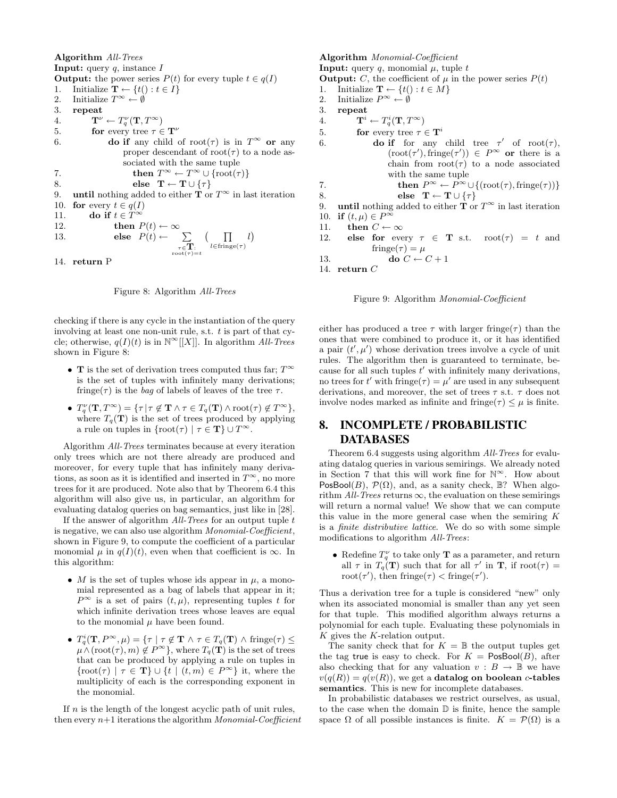Algorithm All-Trees **Input:** query  $q$ , instance I **Output:** the power series  $P(t)$  for every tuple  $t \in q(I)$ 1. Initialize  $\mathbf{T} \leftarrow \{t() : t \in I\}$ 2. Initialize  $T^{\infty} \leftarrow \emptyset$ 3. repeat 4.  $\mathbf{T}^{\nu} \leftarrow T_q^{\nu}(\mathbf{T}, T^{\infty})$ 5. for every tree  $\tau \in \mathbf{T}^{\nu}$ 6. do if any child of root( $\tau$ ) is in  $T^{\infty}$  or any proper descendant of root( $\tau$ ) to a node associated with the same tuple 7. then  $T^{\infty} \leftarrow T^{\infty} \cup \{\text{root}(\tau)\}\$ 8. else  $\mathbf{T} \leftarrow \mathbf{T} \cup \{\tau\}$ 9. until nothing added to either  $\hat{\mathbf{T}}$  or  $T^{\infty}$  in last iteration 10. for every  $t \in q(I)$ 11. do if  $t \in T^{\infty}$ 12. then  $P(t) \leftarrow \infty$ 13. else  $P(t) \leftarrow \sum$  $\substack{\tau \in \mathbf{T}:\ \tau \text{oot}(\tau) = t}$  $\left(\prod_{l \in \text{fringe}(\tau)} l\right)$ 14. return P



checking if there is any cycle in the instantiation of the query involving at least one non-unit rule, s.t.  $t$  is part of that cycle; otherwise,  $q(I)(t)$  is in  $\mathbb{N}^{\infty}[[X]]$ . In algorithm All-Trees shown in Figure 8:

- **T** is the set of derivation trees computed thus far;  $T^{\infty}$ is the set of tuples with infinitely many derivations; fringe( $\tau$ ) is the bag of labels of leaves of the tree  $\tau$ .
- $T_q^{\nu}(\mathbf{T}, T^{\infty}) = {\tau | \tau \notin \mathbf{T} \wedge \tau \in T_q(\mathbf{T}) \wedge \text{root}(\tau) \notin T^{\infty}},$ where  $T_q(\mathbf{T})$  is the set of trees produced by applying a rule on tuples in  $\{\text{root}(\tau) \mid \tau \in \mathbf{T}\} \cup T^{\infty}$ .

Algorithm All-Trees terminates because at every iteration only trees which are not there already are produced and moreover, for every tuple that has infinitely many derivations, as soon as it is identified and inserted in  $T^{\infty}$ , no more trees for it are produced. Note also that by Theorem 6.4 this algorithm will also give us, in particular, an algorithm for evaluating datalog queries on bag semantics, just like in [28].

If the answer of algorithm  $All- Trees$  for an output tuple  $t$ is negative, we can also use algorithm Monomial-Coefficient, shown in Figure 9, to compute the coefficient of a particular monomial  $\mu$  in  $q(I)(t)$ , even when that coefficient is  $\infty$ . In this algorithm:

- M is the set of tuples whose ids appear in  $\mu$ , a monomial represented as a bag of labels that appear in it;  $P^{\infty}$  is a set of pairs  $(t,\mu)$ , representing tuples t for which infinite derivation trees whose leaves are equal to the monomial  $\mu$  have been found.
- $T_q^i(\mathbf{T}, P^{\infty}, \mu) = {\tau | \tau \notin \mathbf{T} \land \tau \in T_q(\mathbf{T}) \land \text{fringe}(\tau) \leq \tau}$  $\mu \wedge (\text{root}(\tau), m) \notin P^{\infty}$ , where  $T_q(\mathbf{T})$  is the set of trees that can be produced by applying a rule on tuples in  $\{\text{root}(\tau) \mid \tau \in \mathbf{T}\} \cup \{t \mid (t, m) \in P^{\infty}\}\$ it, where the multiplicity of each is the corresponding exponent in the monomial.

If  $n$  is the length of the longest acyclic path of unit rules, then every  $n+1$  iterations the algorithm Monomial-Coefficient

Algorithm Monomial-Coefficient **Input:** query q, monomial  $\mu$ , tuple t

**Output:** C, the coefficient of  $\mu$  in the power series  $P(t)$ 

- 1. Initialize  $\mathbf{T} \leftarrow \{t() : t \in M\}$
- 2. Initialize  $P^{\infty} \leftarrow \emptyset$
- 3. repeat

4.  $\mathbf{T}^i \leftarrow T_q^i(\mathbf{T}, T^{\infty})$ 

- 5. **for** every tree  $\tau \in \mathbf{T}^i$
- 6. **do if** for any child tree  $\tau'$  of root $(\tau)$ ,  $(\text{root}(\tau'), \text{fringe}(\tau')) \in P^{\infty}$  or there is a chain from  $root(\tau)$  to a node associated with the same tuple
- 7. then  $P^{\infty} \leftarrow P^{\infty} \cup \{(\text{root}(\tau), \text{fringe}(\tau))\}$ 8. else  $\mathbf{T} \leftarrow \mathbf{T} \cup \{\tau\}$

9. until nothing added to either **T** or  $T^{\infty}$  in last iteration 10. if  $(t,\mu) \in P^{\infty}$ 

```
11. then C \leftarrow \infty
```
- 12. else for every  $\tau \in \mathbf{T}$  s.t.  $\text{root}(\tau) = t$  and fringe( $\tau$ ) =  $\mu$
- 13. do  $C \leftarrow C + 1$

14. return C

Figure 9: Algorithm Monomial-Coefficient

either has produced a tree  $\tau$  with larger fringe( $\tau$ ) than the ones that were combined to produce it, or it has identified a pair  $(t', \mu')$  whose derivation trees involve a cycle of unit rules. The algorithm then is guaranteed to terminate, because for all such tuples  $t'$  with infinitely many derivations, no trees for t' with fringe $(\tau) = \mu'$  are used in any subsequent derivations, and moreover, the set of trees  $\tau$  s.t.  $\tau$  does not involve nodes marked as infinite and fringe( $\tau$ )  $\leq \mu$  is finite.

## 8. INCOMPLETE / PROBABILISTIC DATABASES

Theorem 6.4 suggests using algorithm All-Trees for evaluating datalog queries in various semirings. We already noted in Section 7 that this will work fine for  $\mathbb{N}^{\infty}$ . How about PosBool(B),  $\mathcal{P}(\Omega)$ , and, as a sanity check,  $\mathbb{B}$ ? When algorithm  $All- Trees$  returns  $\infty$ , the evaluation on these semirings will return a normal value! We show that we can compute this value in the more general case when the semiring  $K$ is a finite distributive lattice. We do so with some simple modifications to algorithm All-Trees:

• Redefine  $T_q^{\nu}$  to take only **T** as a parameter, and return all  $\tau$  in  $T_q(\mathbf{T})$  such that for all  $\tau'$  in  $\mathbf{T}$ , if root $(\tau)$  = root( $\tau'$ ), then fringe( $\tau$ ) < fringe( $\tau'$ ).

Thus a derivation tree for a tuple is considered "new" only when its associated monomial is smaller than any yet seen for that tuple. This modified algorithm always returns a polynomial for each tuple. Evaluating these polynomials in K gives the K-relation output.

The sanity check that for  $K = \mathbb{B}$  the output tuples get the tag true is easy to check. For  $K = \text{PosBool}(B)$ , after also checking that for any valuation  $v : B \to \mathbb{B}$  we have  $v(q(R)) = q(v(R))$ , we get a **datalog on boolean** c-tables semantics. This is new for incomplete databases.

In probabilistic databases we restrict ourselves, as usual, to the case when the domain D is finite, hence the sample space  $\Omega$  of all possible instances is finite.  $K = \mathcal{P}(\Omega)$  is a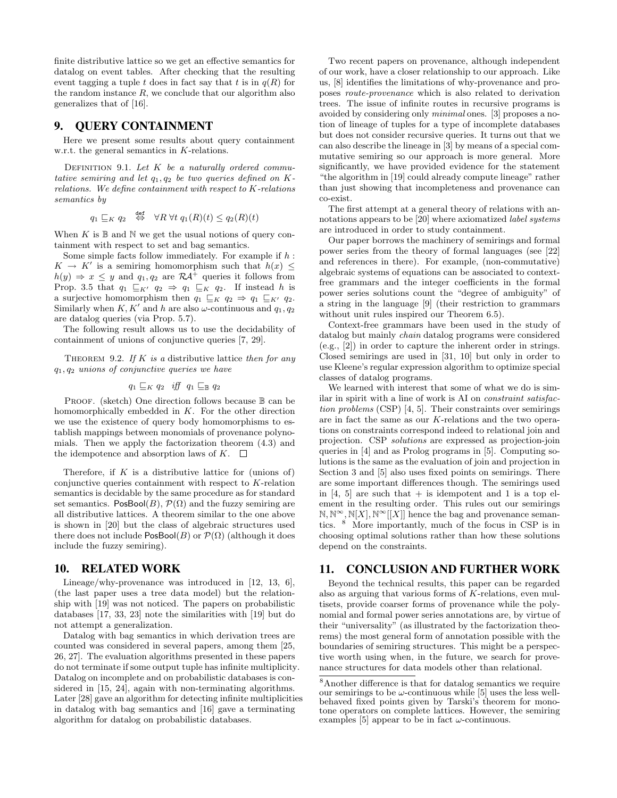finite distributive lattice so we get an effective semantics for datalog on event tables. After checking that the resulting event tagging a tuple t does in fact say that t is in  $q(R)$  for the random instance  $R$ , we conclude that our algorithm also generalizes that of [16].

#### 9. QUERY CONTAINMENT

Here we present some results about query containment w.r.t. the general semantics in K-relations.

DEFINITION 9.1. Let  $K$  be a naturally ordered commutative semiring and let  $q_1, q_2$  be two queries defined on Krelations. We define containment with respect to K-relations semantics by

$$
q_1 \sqsubseteq_K q_2 \overset{\text{def}}{\Leftrightarrow} \forall R \; \forall t \; q_1(R)(t) \leq q_2(R)(t)
$$

When K is  $\mathbb B$  and  $\mathbb N$  we get the usual notions of query containment with respect to set and bag semantics.

Some simple facts follow immediately. For example if  $h$ :  $K \to K'$  is a semiring homomorphism such that  $h(x) \leq$  $h(y) \Rightarrow x \leq y$  and  $q_1, q_2$  are  $\mathcal{R}A^+$  queries it follows from Prop. 3.5 that  $q_1 \subseteq_{K'} q_2 \Rightarrow q_1 \subseteq_K q_2$ . If instead h is a surjective homomorphism then  $q_1 \subseteq_K q_2 \Rightarrow q_1 \subseteq_{K'} q_2$ . Similarly when  $K, K'$  and h are also  $\omega$ -continuous and  $q_1, q_2$ are datalog queries (via Prop. 5.7).

The following result allows us to use the decidability of containment of unions of conjunctive queries [7, 29].

THEOREM 9.2. If  $K$  is a distributive lattice then for any  $q_1, q_2$  unions of conjunctive queries we have

$$
q_1 \sqsubseteq_K q_2 \quad \text{iff} \quad q_1 \sqsubseteq_{\mathbb{B}} q_2
$$

PROOF. (sketch) One direction follows because  $\mathbb B$  can be homomorphically embedded in K. For the other direction we use the existence of query body homomorphisms to establish mappings between monomials of provenance polynomials. Then we apply the factorization theorem (4.3) and the idempotence and absorption laws of  $K$ .  $\square$ 

Therefore, if  $K$  is a distributive lattice for (unions of) conjunctive queries containment with respect to K-relation semantics is decidable by the same procedure as for standard set semantics. PosBool(B),  $\mathcal{P}(\Omega)$  and the fuzzy semiring are all distributive lattices. A theorem similar to the one above is shown in [20] but the class of algebraic structures used there does not include  $\text{PosBool}(B)$  or  $\mathcal{P}(\Omega)$  (although it does include the fuzzy semiring).

#### 10. RELATED WORK

Lineage/why-provenance was introduced in [12, 13, 6], (the last paper uses a tree data model) but the relationship with [19] was not noticed. The papers on probabilistic databases [17, 33, 23] note the similarities with [19] but do not attempt a generalization.

Datalog with bag semantics in which derivation trees are counted was considered in several papers, among them [25, 26, 27]. The evaluation algorithms presented in these papers do not terminate if some output tuple has infinite multiplicity. Datalog on incomplete and on probabilistic databases is considered in [15, 24], again with non-terminating algorithms. Later [28] gave an algorithm for detecting infinite multiplicities in datalog with bag semantics and [16] gave a terminating algorithm for datalog on probabilistic databases.

Two recent papers on provenance, although independent of our work, have a closer relationship to our approach. Like us, [8] identifies the limitations of why-provenance and proposes route-provenance which is also related to derivation trees. The issue of infinite routes in recursive programs is avoided by considering only minimal ones. [3] proposes a notion of lineage of tuples for a type of incomplete databases but does not consider recursive queries. It turns out that we can also describe the lineage in [3] by means of a special commutative semiring so our approach is more general. More significantly, we have provided evidence for the statement "the algorithm in [19] could already compute lineage" rather than just showing that incompleteness and provenance can co-exist.

The first attempt at a general theory of relations with annotations appears to be [20] where axiomatized label systems are introduced in order to study containment.

Our paper borrows the machinery of semirings and formal power series from the theory of formal languages (see [22] and references in there). For example, (non-commutative) algebraic systems of equations can be associated to contextfree grammars and the integer coefficients in the formal power series solutions count the "degree of ambiguity" of a string in the language [9] (their restriction to grammars without unit rules inspired our Theorem 6.5).

Context-free grammars have been used in the study of datalog but mainly chain datalog programs were considered (e.g., [2]) in order to capture the inherent order in strings. Closed semirings are used in [31, 10] but only in order to use Kleene's regular expression algorithm to optimize special classes of datalog programs.

We learned with interest that some of what we do is similar in spirit with a line of work is AI on constraint satisfaction problems (CSP) [4, 5]. Their constraints over semirings are in fact the same as our K-relations and the two operations on constraints correspond indeed to relational join and projection. CSP solutions are expressed as projection-join queries in [4] and as Prolog programs in [5]. Computing solutions is the same as the evaluation of join and projection in Section 3 and [5] also uses fixed points on semirings. There are some important differences though. The semirings used in  $[4, 5]$  are such that  $+$  is idempotent and 1 is a top element in the resulting order. This rules out our semirings  $\mathbb{N}, \mathbb{N}^{\infty}, \mathbb{N}[X], \mathbb{N}^{\infty}[[X]]$  hence the bag and provenance semantics.  $8^{\circ}$  More importantly, much of the focus in CSP is in choosing optimal solutions rather than how these solutions depend on the constraints.

#### 11. CONCLUSION AND FURTHER WORK

Beyond the technical results, this paper can be regarded also as arguing that various forms of K-relations, even multisets, provide coarser forms of provenance while the polynomial and formal power series annotations are, by virtue of their "universality" (as illustrated by the factorization theorems) the most general form of annotation possible with the boundaries of semiring structures. This might be a perspective worth using when, in the future, we search for provenance structures for data models other than relational.

<sup>8</sup>Another difference is that for datalog semantics we require our semirings to be  $\omega$ -continuous while [5] uses the less wellbehaved fixed points given by Tarski's theorem for monotone operators on complete lattices. However, the semiring examples [5] appear to be in fact  $\omega$ -continuous.